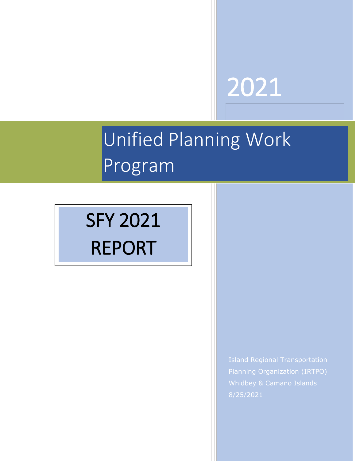# 2021

# i<br>T Unified Planning Work Program

# SFY 2021 REPORT

Island Regional Transportation Planning Organization (IRTPO) Whidbey & Camano Islands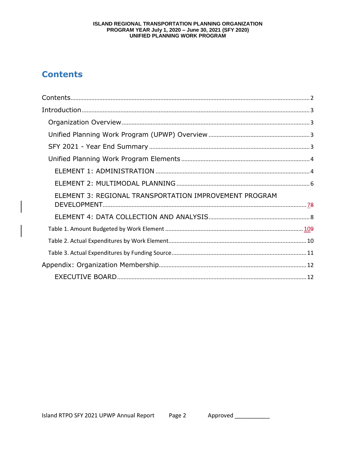# ISLAND REGIONAL TRANSPORTATION PLANNING ORGANIZATION **PROGRAM YEAR July 1, 2020 – June 30, 2021 (SFY 2020)**<br>UNIFIED PLANNING WORK PROGRAM

# **Contents**

| ELEMENT 3: REGIONAL TRANSPORTATION IMPROVEMENT PROGRAM |  |
|--------------------------------------------------------|--|
|                                                        |  |
|                                                        |  |
|                                                        |  |
|                                                        |  |
|                                                        |  |
|                                                        |  |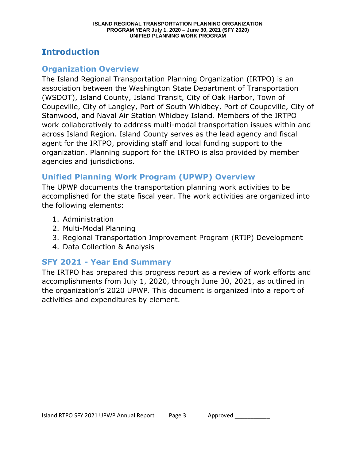# **Introduction**

# **Organization Overview**

The Island Regional Transportation Planning Organization (IRTPO) is an association between the Washington State Department of Transportation (WSDOT), Island County, Island Transit, City of Oak Harbor, Town of Coupeville, City of Langley, Port of South Whidbey, Port of Coupeville, City of Stanwood, and Naval Air Station Whidbey Island. Members of the IRTPO work collaboratively to address multi-modal transportation issues within and across Island Region. Island County serves as the lead agency and fiscal agent for the IRTPO, providing staff and local funding support to the organization. Planning support for the IRTPO is also provided by member agencies and jurisdictions.

# **Unified Planning Work Program (UPWP) Overview**

The UPWP documents the transportation planning work activities to be accomplished for the state fiscal year. The work activities are organized into the following elements:

- 1. Administration
- 2. Multi-Modal Planning
- 3. Regional Transportation Improvement Program (RTIP) Development
- 4. Data Collection & Analysis

# **SFY 2021 - Year End Summary**

The IRTPO has prepared this progress report as a review of work efforts and accomplishments from July 1, 2020, through June 30, 2021, as outlined in the organization's 2020 UPWP. This document is organized into a report of activities and expenditures by element.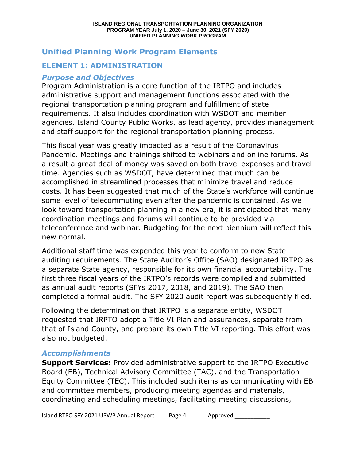# **Unified Planning Work Program Elements**

# **ELEMENT 1: ADMINISTRATION**

## *Purpose and Objectives*

Program Administration is a core function of the IRTPO and includes administrative support and management functions associated with the regional transportation planning program and fulfillment of state requirements. It also includes coordination with WSDOT and member agencies. Island County Public Works, as lead agency, provides management and staff support for the regional transportation planning process.

This fiscal year was greatly impacted as a result of the Coronavirus Pandemic. Meetings and trainings shifted to webinars and online forums. As a result a great deal of money was saved on both travel expenses and travel time. Agencies such as WSDOT, have determined that much can be accomplished in streamlined processes that minimize travel and reduce costs. It has been suggested that much of the State's workforce will continue some level of telecommuting even after the pandemic is contained. As we look toward transportation planning in a new era, it is anticipated that many coordination meetings and forums will continue to be provided via teleconference and webinar. Budgeting for the next biennium will reflect this new normal.

Additional staff time was expended this year to conform to new State auditing requirements. The State Auditor's Office (SAO) designated IRTPO as a separate State agency, responsible for its own financial accountability. The first three fiscal years of the IRTPO's records were compiled and submitted as annual audit reports (SFYs 2017, 2018, and 2019). The SAO then completed a formal audit. The SFY 2020 audit report was subsequently filed.

Following the determination that IRTPO is a separate entity, WSDOT requested that IRPTO adopt a Title VI Plan and assurances, separate from that of Island County, and prepare its own Title VI reporting. This effort was also not budgeted.

## *Accomplishments*

**Support Services:** Provided administrative support to the IRTPO Executive Board (EB), Technical Advisory Committee (TAC), and the Transportation Equity Committee (TEC). This included such items as communicating with EB and committee members, producing meeting agendas and materials, coordinating and scheduling meetings, facilitating meeting discussions,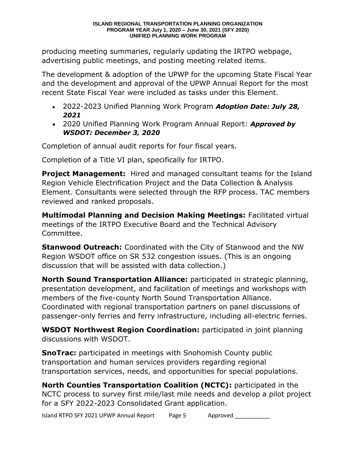producing meeting summaries, regularly updating the IRTPO webpage, advertising public meetings, and posting meeting related items.

The development & adoption of the UPWP for the upcoming State Fiscal Year and the development and approval of the UPWP Annual Report for the most recent State Fiscal Year were included as tasks under this Element.

- 2022-2023 Unified Planning Work Program *Adoption Date: July 28, 2021*
- 2020 Unified Planning Work Program Annual Report: *Approved by WSDOT: December 3, 2020*

Completion of annual audit reports for four fiscal years.

Completion of a Title VI plan, specifically for IRTPO.

**Project Management:** Hired and managed consultant teams for the Island Region Vehicle Electrification Project and the Data Collection & Analysis Element. Consultants were selected through the RFP process. TAC members reviewed and ranked proposals.

**Multimodal Planning and Decision Making Meetings:** Facilitated virtual meetings of the IRTPO Executive Board and the Technical Advisory Committee.

**Stanwood Outreach:** Coordinated with the City of Stanwood and the NW Region WSDOT office on SR 532 congestion issues. (This is an ongoing discussion that will be assisted with data collection.)

**North Sound Transportation Alliance:** participated in strategic planning, presentation development, and facilitation of meetings and workshops with members of the five-county North Sound Transportation Alliance. Coordinated with regional transportation partners on panel discussions of passenger-only ferries and ferry infrastructure, including all-electric ferries.

**WSDOT Northwest Region Coordination:** participated in joint planning discussions with WSDOT.

**SnoTrac:** participated in meetings with Snohomish County public transportation and human services providers regarding regional transportation services, needs, and opportunities for special populations.

**North Counties Transportation Coalition (NCTC):** participated in the NCTC process to survey first mile/last mile needs and develop a pilot project for a SFY 2022-2023 Consolidated Grant application.

Island RTPO SFY 2021 UPWP Annual Report Page 5 Approved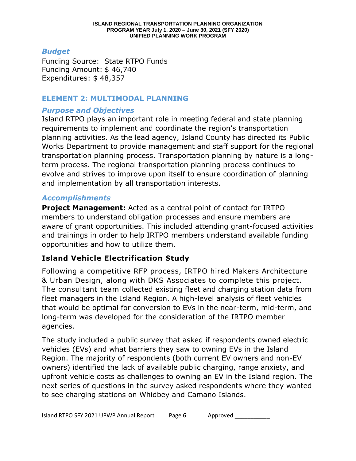### *Budget*

Funding Source: State RTPO Funds Funding Amount: \$ 46,740 Expenditures: \$ 48,357

## **ELEMENT 2: MULTIMODAL PLANNING**

# *Purpose and Objectives*

Island RTPO plays an important role in meeting federal and state planning requirements to implement and coordinate the region's transportation planning activities. As the lead agency, Island County has directed its Public Works Department to provide management and staff support for the regional transportation planning process. Transportation planning by nature is a longterm process. The regional transportation planning process continues to evolve and strives to improve upon itself to ensure coordination of planning and implementation by all transportation interests.

## *Accomplishments*

**Project Management:** Acted as a central point of contact for IRTPO members to understand obligation processes and ensure members are aware of grant opportunities. This included attending grant-focused activities and trainings in order to help IRTPO members understand available funding opportunities and how to utilize them.

# **Island Vehicle Electrification Study**

Following a competitive RFP process, IRTPO hired Makers Architecture & Urban Design, along with DKS Associates to complete this project. The consultant team collected existing fleet and charging station data from fleet managers in the Island Region. A high-level analysis of fleet vehicles that would be optimal for conversion to EVs in the near-term, mid-term, and long-term was developed for the consideration of the IRTPO member agencies.

The study included a public survey that asked if respondents owned electric vehicles (EVs) and what barriers they saw to owning EVs in the Island Region. The majority of respondents (both current EV owners and non-EV owners) identified the lack of available public charging, range anxiety, and upfront vehicle costs as challenges to owning an EV in the Island region. The next series of questions in the survey asked respondents where they wanted to see charging stations on Whidbey and Camano Islands.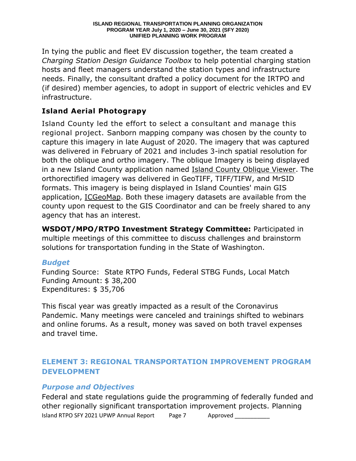In tying the public and fleet EV discussion together, the team created a *Charging Station Design Guidance Toolbox* to help potential charging station hosts and fleet managers understand the station types and infrastructure needs. Finally, the consultant drafted a policy document for the IRTPO and (if desired) member agencies, to adopt in support of electric vehicles and EV infrastructure.

# **Island Aerial Photograpy**

Island County led the effort to select a consultant and manage this regional project. Sanborn mapping company was chosen by the county to capture this imagery in late August of 2020. The imagery that was captured was delivered in February of 2021 and includes 3-inch spatial resolution for both the oblique and ortho imagery. The oblique Imagery is being displayed in a new Island County application named [Island County Oblique Viewer.](https://gisaerial.islandcountywa.gov/viewer/) The orthorectified imagery was delivered in GeoTIFF, TIFF/TIFW, and MrSID formats. This imagery is being displayed in Island Counties' main GIS application, [ICGeoMap.](https://icgeomap.islandcountywa.gov/Html5Viewer/Index.html?viewer=ICGeoMap) Both these imagery datasets are available from the county upon request to the GIS Coordinator and can be freely shared to any agency that has an interest.

**WSDOT/MPO/RTPO Investment Strategy Committee:** Participated in multiple meetings of this committee to discuss challenges and brainstorm solutions for transportation funding in the State of Washington.

# *Budget*

Funding Source: State RTPO Funds, Federal STBG Funds, Local Match Funding Amount: \$ 38,200 Expenditures: \$ 35,706

This fiscal year was greatly impacted as a result of the Coronavirus Pandemic. Many meetings were canceled and trainings shifted to webinars and online forums. As a result, money was saved on both travel expenses and travel time.

# **ELEMENT 3: REGIONAL TRANSPORTATION IMPROVEMENT PROGRAM DEVELOPMENT**

# *Purpose and Objectives*

Island RTPO SFY 2021 UPWP Annual Report Page 7 Approved Federal and state regulations guide the programming of federally funded and other regionally significant transportation improvement projects. Planning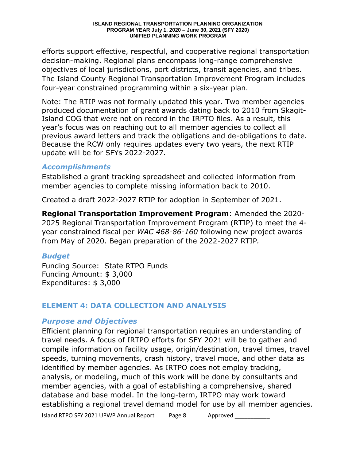#### **ISLAND REGIONAL TRANSPORTATION PLANNING ORGANIZATION PROGRAM YEAR July 1, 2020 – June 30, 2021 (SFY 2020) UNIFIED PLANNING WORK PROGRAM**

efforts support effective, respectful, and cooperative regional transportation decision-making. Regional plans encompass long-range comprehensive objectives of local jurisdictions, port districts, transit agencies, and tribes. The Island County Regional Transportation Improvement Program includes four-year constrained programming within a six-year plan.

Note: The RTIP was not formally updated this year. Two member agencies produced documentation of grant awards dating back to 2010 from Skagit-Island COG that were not on record in the IRPTO files. As a result, this year's focus was on reaching out to all member agencies to collect all previous award letters and track the obligations and de-obligations to date. Because the RCW only requires updates every two years, the next RTIP update will be for SFYs 2022-2027.

#### *Accomplishments*

Established a grant tracking spreadsheet and collected information from member agencies to complete missing information back to 2010.

Created a draft 2022-2027 RTIP for adoption in September of 2021.

**Regional Transportation Improvement Program**: Amended the 2020- 2025 Regional Transportation Improvement Program (RTIP) to meet the 4 year constrained fiscal per *WAC 468-86-160* following new project awards from May of 2020. Began preparation of the 2022-2027 RTIP*.*

#### *Budget*

Funding Source: State RTPO Funds Funding Amount: \$ 3,000 Expenditures: \$ 3,000

#### **ELEMENT 4: DATA COLLECTION AND ANALYSIS**

#### *Purpose and Objectives*

Island RTPO SFY 2021 UPWP Annual Report Page 8 Approved \_\_\_\_\_\_\_\_\_\_\_ Approved Efficient planning for regional transportation requires an understanding of travel needs. A focus of IRTPO efforts for SFY 2021 will be to gather and compile information on facility usage, origin/destination, travel times, travel speeds, turning movements, crash history, travel mode, and other data as identified by member agencies. As IRTPO does not employ tracking, analysis, or modeling, much of this work will be done by consultants and member agencies, with a goal of establishing a comprehensive, shared database and base model. In the long-term, IRTPO may work toward establishing a regional travel demand model for use by all member agencies.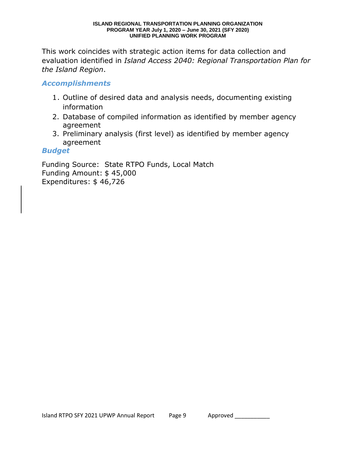#### **ISLAND REGIONAL TRANSPORTATION PLANNING ORGANIZATION PROGRAM YEAR July 1, 2020 – June 30, 2021 (SFY 2020) UNIFIED PLANNING WORK PROGRAM**

This work coincides with strategic action items for data collection and evaluation identified in *Island Access 2040: Regional Transportation Plan for the Island Region*.

#### *Accomplishments*

- 1. Outline of desired data and analysis needs, documenting existing information
- 2. Database of compiled information as identified by member agency agreement
- 3. Preliminary analysis (first level) as identified by member agency agreement

#### *Budget*

Funding Source: State RTPO Funds, Local Match Funding Amount: \$ 45,000 Expenditures: \$ 46,726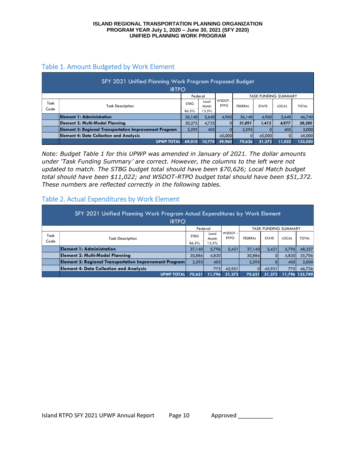#### Table 1. Amount Budgeted by Work Element

| SFY 2021 Unified Planning Work Program Proposed Budget<br><b>IRTPO</b> |                                                               |             |                |                        |                |              |                             |              |  |  |  |
|------------------------------------------------------------------------|---------------------------------------------------------------|-------------|----------------|------------------------|----------------|--------------|-----------------------------|--------------|--|--|--|
|                                                                        |                                                               | Federal     |                |                        |                |              | <b>TASK FUNDING SUMMARY</b> |              |  |  |  |
| Task<br>Code                                                           | <b>Task Description</b>                                       | <b>STBG</b> | Local<br>Match | WSDOT -<br><b>RTPO</b> | <b>FEDERAL</b> | <b>STATE</b> | <b>LOCAL</b>                | <b>TOTAL</b> |  |  |  |
|                                                                        |                                                               | 86.5%       | 13.5%          |                        |                |              |                             |              |  |  |  |
|                                                                        | Element 1: Administration                                     | 36.140      | 5.640          | 4.960                  | 36.140         | 4.960        | 5,640                       | 46,740       |  |  |  |
|                                                                        | Element 2: Multi-Modal Planning                               | 30,275      | 4,725          | $\Omega$               | 31,891         | 1.412        | 4,977                       | 38,280       |  |  |  |
|                                                                        | <b>Element 3: Regional Transportation Improvement Program</b> | 2.595       | 405            | $\Omega$               | 2,595          |              | 405                         | 3,000        |  |  |  |
|                                                                        | <b>Element 4: Data Collection and Analysis</b>                |             |                | 45,000                 |                | 45,000       |                             | 45,000       |  |  |  |
|                                                                        | <b>UPWP TOTAL</b>                                             | 69,010      | 10.770         | 49,960                 | 70,626         | 51,372       | 11,022                      | 133,020      |  |  |  |

*Note: Budget Table 1 for this UPWP was amended in January of 2021. The dollar amounts under 'Task Funding Summary' are correct. However, the columns to the left were not updated to match. The STBG budget total should have been \$70,626; Local Match budget total should have been \$11,022; and WSDOT-RTPO budget total should have been \$51,372. These numbers are reflected correctly in the following tables.*

#### Table 2. Actual Expenditures by Work Element

| SFY 2021 Unified Planning Work Program Actual Expenditures by Work Element<br><b>IRTPO</b> |                                                               |                 |                |                        |         |              |              |                |  |  |  |
|--------------------------------------------------------------------------------------------|---------------------------------------------------------------|-----------------|----------------|------------------------|---------|--------------|--------------|----------------|--|--|--|
| Federal<br><b>TASK FUNDING SUMMARY</b>                                                     |                                                               |                 |                |                        |         |              |              |                |  |  |  |
| Task<br>Code                                                                               | <b>Task Description</b>                                       | <b>STBG</b>     | Local<br>Match | WSDOT -<br><b>RTPO</b> | FEDERAL | <b>STATE</b> | <b>LOCAL</b> | <b>TOTAL</b>   |  |  |  |
|                                                                                            | <b>Element 1: Administration</b>                              | 86.5%<br>37,140 | 13.5%<br>5,796 | 5,421                  | 37.140  | 5,421        | 5,796        | 48,357         |  |  |  |
|                                                                                            | <b>Element 2: Multi-Modal Planning</b>                        | 30,886          | 4,820          |                        | 30,886  |              | 4,820        | 35,706         |  |  |  |
|                                                                                            | <b>Element 3: Regional Transportation Improvement Program</b> | 2,595           | 405            |                        | 2,595   |              | 405          | 3,000          |  |  |  |
|                                                                                            | <b>Element 4: Data Collection and Analysis</b>                |                 | 7751           | 45,951                 | O.      | 45,951       | 775I         | 46,726         |  |  |  |
|                                                                                            | <b>UPWP TOTAL</b>                                             | 70.621          | 11,796         | 51,372                 | 70.621  | 51,372       |              | 11,796 133,789 |  |  |  |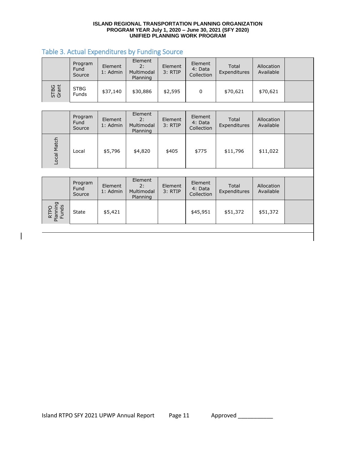#### **ISLAND REGIONAL TRANSPORTATION PLANNING ORGANIZATION PROGRAM YEAR July 1, 2020 – June 30, 2021 (SFY 2020) UNIFIED PLANNING WORK PROGRAM**

#### Table 3. Actual Expenditures by Funding Source

Local

|               | Program<br>Fund<br>Source        | Element<br>1: Admin | Element<br>2:<br>Multimodal<br>Planning | Element<br>3: RTIP | Element<br>4: Data<br>Collection | Total<br>Expenditures | Allocation<br>Available |  |
|---------------|----------------------------------|---------------------|-----------------------------------------|--------------------|----------------------------------|-----------------------|-------------------------|--|
| STBG<br>Grant | <b>STBG</b><br><b>Funds</b>      | \$37,140            | \$30,886                                | \$2,595            | $\mathbf 0$                      | \$70,621              | \$70,621                |  |
|               |                                  |                     |                                         |                    |                                  |                       |                         |  |
|               | Program<br><b>Fund</b><br>Source | Element<br>1: Admin | Element<br>2:<br>Multimodal<br>Planning | Element<br>3: RTIP | Element<br>4: Data<br>Collection | Total<br>Expenditures | Allocation<br>Available |  |
| Local Match   | Local                            | \$5,796             | \$4,820                                 | \$405              | \$775                            | \$11,796              | \$11,022                |  |

| Element<br>Element<br>Program<br>Element<br>Element<br>Total<br>Allocation<br>2:<br>Fund<br>4: Data<br>1: Admin<br>Available<br>Expenditures<br>Multimodal<br>3: RTIP<br>Collection<br>Source<br>Planning |  |  |  |  |  |
|-----------------------------------------------------------------------------------------------------------------------------------------------------------------------------------------------------------|--|--|--|--|--|
|                                                                                                                                                                                                           |  |  |  |  |  |
| Оq<br>\$45,951<br>\$5,421<br>\$51,372<br>\$51,372<br><b>State</b><br>RTI<br>- 동 군<br>$\overline{\mathbf{a}}$                                                                                              |  |  |  |  |  |

Island RTPO SFY 2021 UPWP Annual Report Page 11 Approved \_\_\_\_\_\_\_\_\_